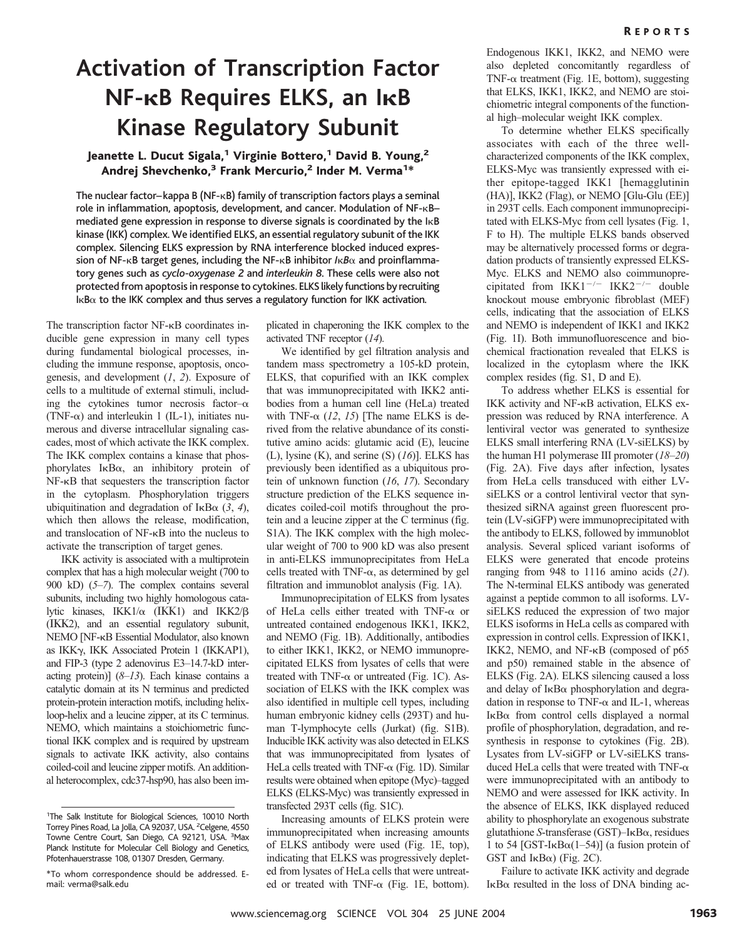# **Activation of Transcription Factor NF-** $\kappa$ B Requires ELKS, an I $\kappa$ B **Kinase Regulatory Subunit**

### Jeanette L. Ducut Sigala,<sup>1</sup> Virginie Bottero,<sup>1</sup> David B. Young,<sup>2</sup> Andrej Shevchenko,<sup>3</sup> Frank Mercurio,<sup>2</sup> Inder M. Verma<sup>1\*</sup>

The nuclear factor-kappa B (NF- $\kappa$ B) family of transcription factors plays a seminal role in inflammation, apoptosis, development, and cancer. Modulation of NF-KBmediated gene expression in response to diverse signals is coordinated by the  $I_{\kappa}B$ kinase (IKK) complex. We identified ELKS, an essential regulatory subunit of the IKK complex. Silencing ELKS expression by RNA interference blocked induced expression of NF- $\kappa$ B target genes, including the NF- $\kappa$ B inhibitor / $\kappa$ *B* $\alpha$  and proinflammatory genes such as *cyclo-oxygenase 2* and *interleukin 8*. These cells were also not protected from apoptosis in response to cytokines. ELKS likely functions by recruiting  ${\sf I}\kappa{\sf B}\alpha$  to the IKK complex and thus serves a regulatory function for IKK activation.

The transcription factor NF- $\kappa$ B coordinates inducible gene expression in many cell types during fundamental biological processes, including the immune response, apoptosis, oncogenesis, and development (*1*, *2*). Exposure of cells to a multitude of external stimuli, including the cytokines tumor necrosis factor- $\alpha$ (TNF- $\alpha$ ) and interleukin 1 (IL-1), initiates numerous and diverse intracellular signaling cascades, most of which activate the IKK complex. The IKK complex contains a kinase that phosphorylates  $I \kappa B\alpha$ , an inhibitory protein of NF- $\kappa$ B that sequesters the transcription factor in the cytoplasm. Phosphorylation triggers ubiquitination and degradation of  $I \kappa B\alpha$  (3, 4), which then allows the release, modification, and translocation of NF- $\kappa$ B into the nucleus to activate the transcription of target genes.

IKK activity is associated with a multiprotein complex that has a high molecular weight (700 to 900 kD) (*5*–*7*). The complex contains several subunits, including two highly homologous catalytic kinases,  $IKK1/\alpha$  (IKK1) and  $IKK2/\beta$ (IKK2), and an essential regulatory subunit, NEMO [NF- $\kappa$ B Essential Modulator, also known as IKK, IKK Associated Protein 1 (IKKAP1), and FIP-3 (type 2 adenovirus E3–14.7-kD interacting protein)] (*8*–*13*). Each kinase contains a catalytic domain at its N terminus and predicted protein-protein interaction motifs, including helixloop-helix and a leucine zipper, at its C terminus. NEMO, which maintains a stoichiometric functional IKK complex and is required by upstream signals to activate IKK activity, also contains coiled-coil and leucine zipper motifs. An additional heterocomplex, cdc37-hsp90, has also been implicated in chaperoning the IKK complex to the activated TNF receptor (*14*).

We identified by gel filtration analysis and tandem mass spectrometry a 105-kD protein, ELKS, that copurified with an IKK complex that was immunoprecipitated with IKK2 antibodies from a human cell line (HeLa) treated with TNF- $\alpha$  (12, 15) [The name ELKS is derived from the relative abundance of its constitutive amino acids: glutamic acid (E), leucine (L), lysine (K), and serine (S) (*16*)]. ELKS has previously been identified as a ubiquitous protein of unknown function (*16*, *17*). Secondary structure prediction of the ELKS sequence indicates coiled-coil motifs throughout the protein and a leucine zipper at the C terminus (fig. S1A). The IKK complex with the high molecular weight of 700 to 900 kD was also present in anti-ELKS immunoprecipitates from HeLa cells treated with TNF- $\alpha$ , as determined by gel filtration and immunoblot analysis (Fig. 1A).

Immunoprecipitation of ELKS from lysates of HeLa cells either treated with TNF- $\alpha$  or untreated contained endogenous IKK1, IKK2, and NEMO (Fig. 1B). Additionally, antibodies to either IKK1, IKK2, or NEMO immunoprecipitated ELKS from lysates of cells that were treated with TNF- $\alpha$  or untreated (Fig. 1C). Association of ELKS with the IKK complex was also identified in multiple cell types, including human embryonic kidney cells (293T) and human T-lymphocyte cells (Jurkat) (fig. S1B). Inducible IKK activity was also detected in ELKS that was immunoprecipitated from lysates of HeLa cells treated with TNF- $\alpha$  (Fig. 1D). Similar results were obtained when epitope (Myc)–tagged ELKS (ELKS-Myc) was transiently expressed in transfected 293T cells (fig. S1C).

Increasing amounts of ELKS protein were immunoprecipitated when increasing amounts of ELKS antibody were used (Fig. 1E, top), indicating that ELKS was progressively depleted from lysates of HeLa cells that were untreated or treated with TNF- $\alpha$  (Fig. 1E, bottom).

Endogenous IKK1, IKK2, and NEMO were also depleted concomitantly regardless of TNF- $\alpha$  treatment (Fig. 1E, bottom), suggesting that ELKS, IKK1, IKK2, and NEMO are stoichiometric integral components of the functional high–molecular weight IKK complex.

To determine whether ELKS specifically associates with each of the three wellcharacterized components of the IKK complex, ELKS-Myc was transiently expressed with either epitope-tagged IKK1 [hemagglutinin (HA)], IKK2 (Flag), or NEMO [Glu-Glu (EE)] in 293T cells. Each component immunoprecipitated with ELKS-Myc from cell lysates (Fig. 1, F to H). The multiple ELKS bands observed may be alternatively processed forms or degradation products of transiently expressed ELKS-Myc. ELKS and NEMO also coimmunoprecipitated from  $IKK1^{-/-}$  IKK2<sup>-/-</sup> double knockout mouse embryonic fibroblast (MEF) cells, indicating that the association of ELKS and NEMO is independent of IKK1 and IKK2 (Fig. 1I). Both immunofluorescence and biochemical fractionation revealed that ELKS is localized in the cytoplasm where the IKK complex resides (fig. S1, D and E).

To address whether ELKS is essential for IKK activity and NF-KB activation, ELKS expression was reduced by RNA interference. A lentiviral vector was generated to synthesize ELKS small interfering RNA (LV-siELKS) by the human H1 polymerase III promoter (*18*–*20*) (Fig. 2A). Five days after infection, lysates from HeLa cells transduced with either LVsiELKS or a control lentiviral vector that synthesized siRNA against green fluorescent protein (LV-siGFP) were immunoprecipitated with the antibody to ELKS, followed by immunoblot analysis. Several spliced variant isoforms of ELKS were generated that encode proteins ranging from 948 to 1116 amino acids (*21*). The N-terminal ELKS antibody was generated against a peptide common to all isoforms. LVsiELKS reduced the expression of two major ELKS isoforms in HeLa cells as compared with expression in control cells. Expression of IKK1, IKK2, NEMO, and  $NF-\kappa B$  (composed of p65 and p50) remained stable in the absence of ELKS (Fig. 2A). ELKS silencing caused a loss and delay of IKB $\alpha$  phosphorylation and degradation in response to TNF- $\alpha$  and IL-1, whereas  $I \kappa B\alpha$  from control cells displayed a normal profile of phosphorylation, degradation, and resynthesis in response to cytokines (Fig. 2B). Lysates from LV-siGFP or LV-siELKS transduced HeLa cells that were treated with TNF- $\alpha$ were immunoprecipitated with an antibody to NEMO and were assessed for IKK activity. In the absence of ELKS, IKK displayed reduced ability to phosphorylate an exogenous substrate glutathione *S*-transferase (GST)-IκΒα, residues 1 to 54 [GST-I $\kappa$ B $\alpha$ (1–54)] (a fusion protein of GST and  $I\kappa B\alpha$ ) (Fig. 2C).

Failure to activate IKK activity and degrade  $I \kappa B\alpha$  resulted in the loss of DNA binding ac-

<sup>&</sup>lt;sup>1</sup>The Salk Institute for Biological Sciences, 10010 North Torrey Pines Road, La Jolla, CA 92037, USA. <sup>2</sup> Celgene, 4550 Towne Centre Court, San Diego, CA 92121, USA. <sup>3</sup>Max Planck Institute for Molecular Cell Biology and Genetics, Pfotenhauerstrasse 108, 01307 Dresden, Germany.

<sup>\*</sup>To whom correspondence should be addressed. Email: verma@salk.edu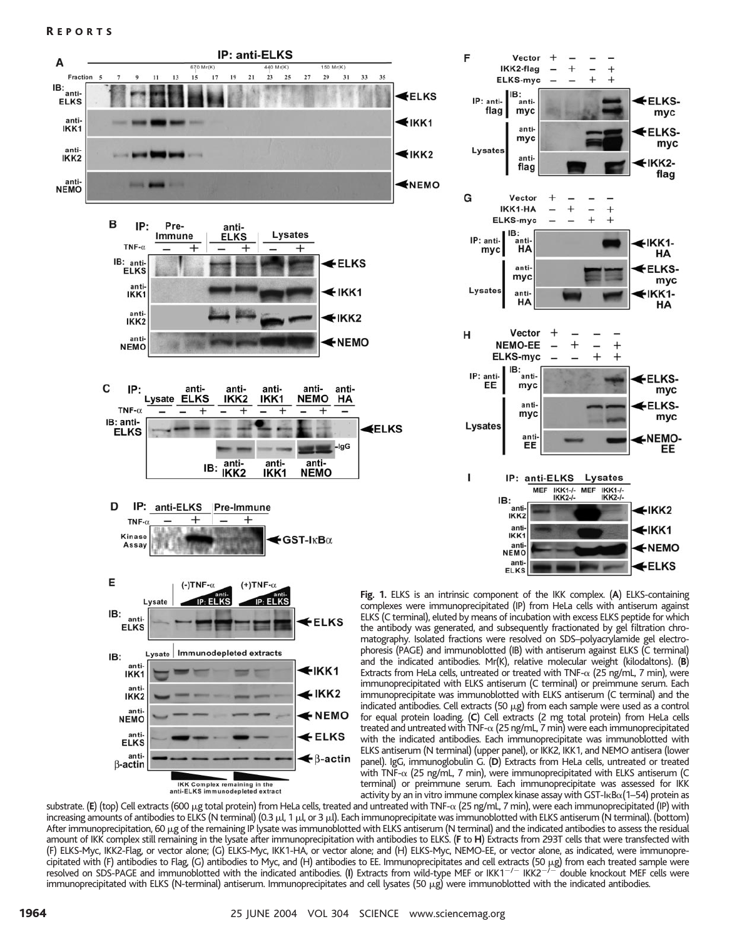



**Fig. 1.** ELKS is an intrinsic component of the IKK complex. (**A**) ELKS-containing complexes were immunoprecipitated (IP) from HeLa cells with antiserum against ELKS (C terminal), eluted by means of incubation with excess ELKS peptide for which the antibody was generated, and subsequently fractionated by gel filtration chromatography. Isolated fractions were resolved on SDS–polyacrylamide gel electrophoresis (PAGE) and immunoblotted (IB) with antiserum against ELKS (C terminal) and the indicated antibodies. Mr(K), relative molecular weight (kilodaltons). (**B**) Extracts from HeLa cells, untreated or treated with TNF- $\alpha$  (25 ng/mL, 7 min), were immunoprecipitated with ELKS antiserum (C terminal) or preimmune serum. Each immunoprecipitate was immunoblotted with ELKS antiserum (C terminal) and the indicated antibodies. Cell extracts (50  $\mu$ g) from each sample were used as a control for equal protein loading. (**C**) Cell extracts (2 mg total protein) from HeLa cells treated and untreated with TNF- $\alpha$  (25 ng/mL, 7 min) were each immunoprecipitated with the indicated antibodies. Each immunoprecipitate was immunoblotted with ELKS antiserum (N terminal) (upper panel), or IKK2, IKK1, and NEMO antisera (lower panel). IgG, immunoglobulin G. (**D**) Extracts from HeLa cells, untreated or treated with TNF- $\alpha$  (25 ng/mL, 7 min), were immunoprecipitated with ELKS antiserum (C terminal) or preimmune serum. Each immunoprecipitate was assessed for IKK activity by an in vitro immune complex kinase assay with GST-I $\kappa$ B $\alpha$ (1–54) protein as

substrate. **(E)** (top) Cell extracts (600 μg total protein) from HeLa cells, treated and untreated with TNF-α (25 ng/mL, 7 min), were each immunoprecipitated (IP) with increasing amounts of antibodies to ELKS (N terminal) (0.3 µl, 1 µl, or 3 µl). Each immunoprecipitate was immunoblotted with ELKS antiserum (N terminal). (bottom) After immunoprecipitation, 60 µg of the remaining IP lysate was immunoblotted with ELKS antiserum (N terminal) and the indicated antibodies to assess the residual amount of IKK complex still remaining in the lysate after immunoprecipitation with antibodies to ELKS. (**F** to **H**) Extracts from 293T cells that were transfected with (F) ELKS-Myc, IKK2-Flag, or vector alone; (G) ELKS-Myc, IKK1-HA, or vector alone; and (H) ELKS-Myc, NEMO-EE, or vector alone, as indicated, were immunoprecipitated with (F) antibodies to Flag, (G) antibodies to Myc, and (H) antibodies to EE. Immunoprecipitates and cell extracts (50  $\mu$ g) from each treated sample were resolved on SDS-PAGE and immunoblotted with the indicated antibodies. (I) Extracts from wild-type MEF or IKK1<sup>-/-</sup> IKK2<sup>-/--</sup>double knockout MEF cells were immunoprecipitated with ELKS (N-terminal) antiserum. Immunoprecipitates and cell lysates (50 µg) were immunoblotted with the indicated antibodies.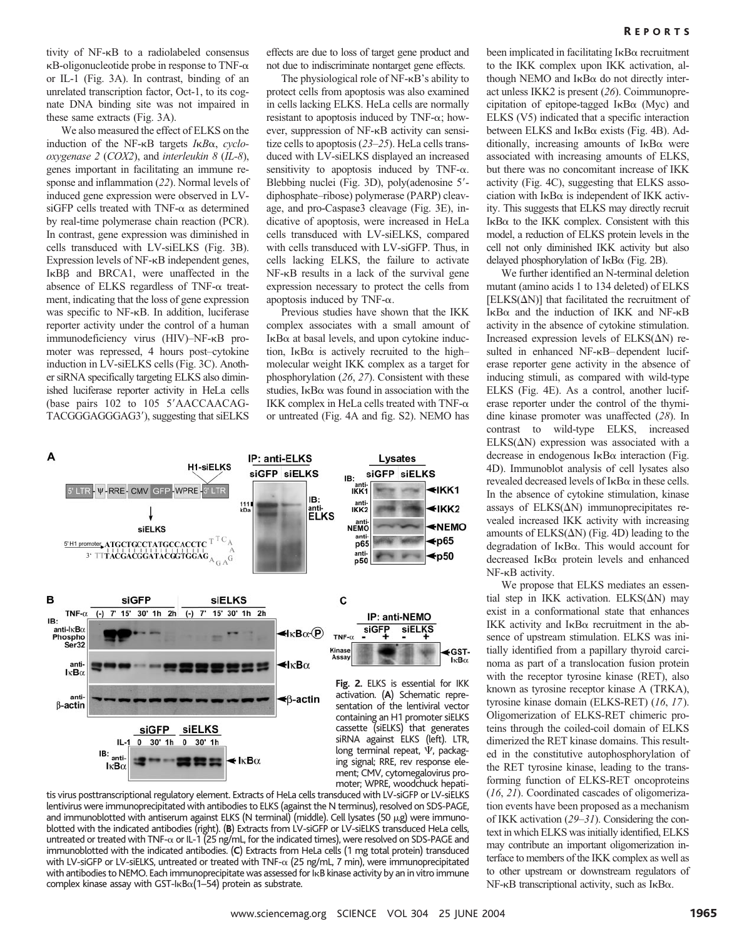We also measured the effect of ELKS on the induction of the NF- $\kappa$ B targets *I* $\kappa$ *B* $\alpha$ , *cyclooxygenase 2* (*COX2*), and *interleukin 8* (*IL-8*), genes important in facilitating an immune response and inflammation (*22*). Normal levels of induced gene expression were observed in LV $s$ iGFP cells treated with TNF- $\alpha$  as determined by real-time polymerase chain reaction (PCR). In contrast, gene expression was diminished in cells transduced with LV-siELKS (Fig. 3B). Expression levels of NF- $\kappa$ B independent genes,  $I \kappa B\beta$  and BRCA1, were unaffected in the absence of ELKS regardless of TNF- $\alpha$  treatment, indicating that the loss of gene expression was specific to NF- $\kappa$ B. In addition, luciferase reporter activity under the control of a human immunodeficiency virus (HIV)–NF-KB promoter was repressed, 4 hours post–cytokine induction in LV-siELKS cells (Fig. 3C). Another siRNA specifically targeting ELKS also diminished luciferase reporter activity in HeLa cells (base pairs 102 to 105 5'AACCAACAG-TACGGGAGGGAG3'), suggesting that siELKS

effects are due to loss of target gene product and not due to indiscriminate nontarget gene effects.

The physiological role of  $NF - \kappa B$ 's ability to protect cells from apoptosis was also examined in cells lacking ELKS. HeLa cells are normally resistant to apoptosis induced by  $TNF-\alpha$ ; however, suppression of NF- $\kappa$ B activity can sensitize cells to apoptosis (*23*–*25*). HeLa cells transduced with LV-siELKS displayed an increased sensitivity to apoptosis induced by TNF- $\alpha$ . Blebbing nuclei (Fig. 3D), poly(adenosine 5'diphosphate–ribose) polymerase (PARP) cleavage, and pro-Caspase3 cleavage (Fig. 3E), indicative of apoptosis, were increased in HeLa cells transduced with LV-siELKS, compared with cells transduced with LV-siGFP. Thus, in cells lacking ELKS, the failure to activate  $NF-\kappa B$  results in a lack of the survival gene expression necessary to protect the cells from apoptosis induced by TNF- $\alpha$ .

Previous studies have shown that the IKK complex associates with a small amount of  $I \kappa B\alpha$  at basal levels, and upon cytokine induction, I<sub>K</sub>B $\alpha$  is actively recruited to the high– molecular weight IKK complex as a target for phosphorylation (*26*, *27*). Consistent with these studies,  $I \kappa B\alpha$  was found in association with the IKK complex in HeLa cells treated with TNF- $\alpha$ or untreated (Fig. 4A and fig. S2). NEMO has



tis virus posttranscriptional regulatory element. Extracts of HeLa cells transduced with LV-siGFP or LV-siELKS lentivirus were immunoprecipitated with antibodies to ELKS (against the N terminus), resolved on SDS-PAGE, and immunoblotted with antiserum against ELKS (N terminal) (middle). Cell lysates (50  $\mu$ g) were immunoblotted with the indicated antibodies (right). (**B**) Extracts from LV-siGFP or LV-siELKS transduced HeLa cells, untreated or treated with TNF- $\alpha$  or IL-1 (25 ng/mL, for the indicated times), were resolved on SDS-PAGE and immunoblotted with the indicated antibodies. (**C**) Extracts from HeLa cells (1 mg total protein) transduced with LV-siGFP or LV-siELKS, untreated or treated with TNF- $\alpha$  (25 ng/mL, 7 min), were immunoprecipitated with antibodies to NEMO. Each immunoprecipitate was assessed for IKB kinase activity by an in vitro immune  $\mathop{\mathsf{complex}}$  kinase assay with GST-l $\mathop{\mathsf{RB}}\nolimits\alpha(1\text{--}54)$  protein as substrate.

been implicated in facilitating IκΒα recruitment to the IKK complex upon IKK activation, although NEMO and  $I \kappa B\alpha$  do not directly interact unless IKK2 is present (*26*). Coimmunoprecipitation of epitope-tagged  $I \kappa B\alpha$  (Myc) and ELKS (V5) indicated that a specific interaction between ELKS and IκBα exists (Fig. 4B). Additionally, increasing amounts of  $I \kappa B\alpha$  were associated with increasing amounts of ELKS, but there was no concomitant increase of IKK activity (Fig. 4C), suggesting that ELKS association with  $I \kappa B\alpha$  is independent of IKK activity. This suggests that ELKS may directly recruit  $I$ <sub>K</sub>B $\alpha$  to the IKK complex. Consistent with this model, a reduction of ELKS protein levels in the cell not only diminished IKK activity but also delayed phosphorylation of  $I\kappa B\alpha$  (Fig. 2B).

We further identified an N-terminal deletion mutant (amino acids 1 to 134 deleted) of ELKS  $[ELKS(\Delta N)]$  that facilitated the recruitment of  $I \kappa B\alpha$  and the induction of IKK and NF- $\kappa B$ activity in the absence of cytokine stimulation. Increased expression levels of  $ELKS(\Delta N)$  resulted in enhanced NF-KB–dependent luciferase reporter gene activity in the absence of inducing stimuli, as compared with wild-type ELKS (Fig. 4E). As a control, another luciferase reporter under the control of the thymidine kinase promoter was unaffected (*28*). In contrast to wild-type ELKS, increased  $ELKS(\Delta N)$  expression was associated with a decrease in endogenous  $I \kappa B\alpha$  interaction (Fig. 4D). Immunoblot analysis of cell lysates also revealed decreased levels of  $I \kappa B\alpha$  in these cells. In the absence of cytokine stimulation, kinase assays of  $ELKS(\Delta N)$  immunoprecipitates revealed increased IKK activity with increasing amounts of  $ELKS(\Delta N)$  (Fig. 4D) leading to the degradation of IKB $\alpha$ . This would account for decreased I<sub>K</sub>B $\alpha$  protein levels and enhanced  $NF-\kappa B$  activity.

We propose that ELKS mediates an essential step in IKK activation.  $ELKS(\Delta N)$  may exist in a conformational state that enhances IKK activity and  $I \kappa B\alpha$  recruitment in the absence of upstream stimulation. ELKS was initially identified from a papillary thyroid carcinoma as part of a translocation fusion protein with the receptor tyrosine kinase (RET), also known as tyrosine receptor kinase A (TRKA), tyrosine kinase domain (ELKS-RET) (*16*, *17*). Oligomerization of ELKS-RET chimeric proteins through the coiled-coil domain of ELKS dimerized the RET kinase domains. This resulted in the constitutive autophosphorylation of the RET tyrosine kinase, leading to the transforming function of ELKS-RET oncoproteins (*16*, *21*). Coordinated cascades of oligomerization events have been proposed as a mechanism of IKK activation (*29*–*31*). Considering the context in which ELKS was initially identified, ELKS may contribute an important oligomerization interface to members of the IKK complex as well as to other upstream or downstream regulators of  $NF$ - $\kappa B$  transcriptional activity, such as I $\kappa B\alpha$ .

 $k$ B $\alpha$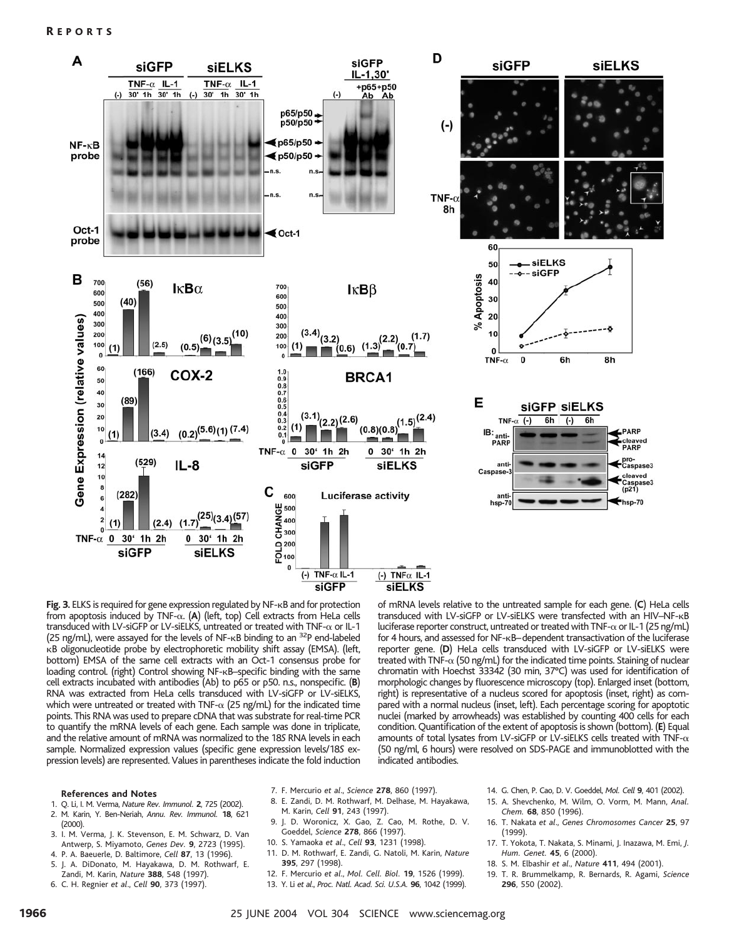### R EPORTS



Fig. 3. ELKS is required for gene expression regulated by NF-<sub>K</sub>B and for protection from apoptosis induced by TNF-α. (A) (left, top) Cell extracts from HeLa cells transduced with LV-siGFP or LV-siELKS, untreated or treated with  $TNF-\alpha$  or IL-1 (25 ng/mL), were assayed for the levels of NF- $\kappa$ B binding to an  $32P$  end-labeled B oligonucleotide probe by electrophoretic mobility shift assay (EMSA). (left, bottom) EMSA of the same cell extracts with an Oct-1 consensus probe for loading control. (right) Control showing NF-KB-specific binding with the same cell extracts incubated with antibodies (Ab) to p65 or p50. n.s., nonspecific. (**B**) RNA was extracted from HeLa cells transduced with LV-siGFP or LV-siELKS, which were untreated or treated with TNF- $\alpha$  (25 ng/mL) for the indicated time points. This RNA was used to prepare cDNA that was substrate for real-time PCR to quantify the mRNA levels of each gene. Each sample was done in triplicate, and the relative amount of mRNA was normalized to the 18*S* RNA levels in each sample. Normalized expression values (specific gene expression levels/18*S* expression levels) are represented. Values in parentheses indicate the fold induction of mRNA levels relative to the untreated sample for each gene. (**C**) HeLa cells transduced with LV-siGFP or LV-siELKS were transfected with an HIV-NF-KB luciferase reporter construct, untreated or treated with TNF- $\alpha$  or IL-1 (25 ng/mL) for 4 hours, and assessed for NF-KB–dependent transactivation of the luciferase reporter gene. (**D**) HeLa cells transduced with LV-siGFP or LV-siELKS were treated with TNF- $\alpha$  (50 ng/mL) for the indicated time points. Staining of nuclear chromatin with Hoechst 33342 (30 min, 37°C) was used for identification of morphologic changes by fluorescence microscopy (top). Enlarged inset (bottom, right) is representative of a nucleus scored for apoptosis (inset, right) as compared with a normal nucleus (inset, left). Each percentage scoring for apoptotic nuclei (marked by arrowheads) was established by counting 400 cells for each condition. Quantification of the extent of apoptosis is shown (bottom). (**E**) Equal amounts of total lysates from LV-siGFP or LV-siELKS cells treated with TNF- $\alpha$ (50 ng/ml, 6 hours) were resolved on SDS-PAGE and immunoblotted with the indicated antibodies.

#### **References and Notes**

- 1. Q. Li, I. M. Verma, *Nature Rev. Immunol.* **2**, 725 (2002).
- 2. M. Karin, Y. Ben-Neriah, *Annu. Rev. Immunol.* **18**, 621
- (2000). 3. I. M. Verma, J. K. Stevenson, E. M. Schwarz, D. Van
- Antwerp, S. Miyamoto, *Genes Dev.* **9**, 2723 (1995). 4. P. A. Baeuerle, D. Baltimore, *Cell* **87**, 13 (1996).
- 5. J. A. DiDonato, M. Hayakawa, D. M. Rothwarf, E. Zandi, M. Karin, *Nature* **388**, 548 (1997).
- 6. C. H. Regnier *et al*., *Cell* **90**, 373 (1997).
- 7. F. Mercurio *et al*., *Science* **278**, 860 (1997).
- 8. E. Zandi, D. M. Rothwarf, M. Delhase, M. Hayakawa, M. Karin, *Cell* **91**, 243 (1997).
- 9. J. D. Woronicz, X. Gao, Z. Cao, M. Rothe, D. V.
- Goeddel, *Science* **278**, 866 (1997).
- 10. S. Yamaoka *et al*., *Cell* **93**, 1231 (1998).
- 11. D. M. Rothwarf, E. Zandi, G. Natoli, M. Karin, *Nature* **395**, 297 (1998).
- 12. F. Mercurio *et al*., *Mol. Cell. Biol.* **19**, 1526 (1999).
- 13. Y. Li *et al*., *Proc. Natl. Acad. Sci. U.S.A.* **96**, 1042 (1999).
- 14. G. Chen, P. Cao, D. V. Goeddel, *Mol. Cell* **9**, 401 (2002).
- 15. A. Shevchenko, M. Wilm, O. Vorm, M. Mann, *Anal. Chem.* **68**, 850 (1996).
- 16. T. Nakata *et al*., *Genes Chromosomes Cancer* **25**,97 (1999).
- 17. T. Yokota, T. Nakata, S. Minami, J. Inazawa, M. Emi, *J. Hum. Genet.* **45**, 6 (2000).
- 18. S. M. Elbashir *et al*., *Nature* **411**, 494 (2001).
- 19. T. R. Brummelkamp, R. Bernards, R. Agami, *Science* **296**, 550 (2002).